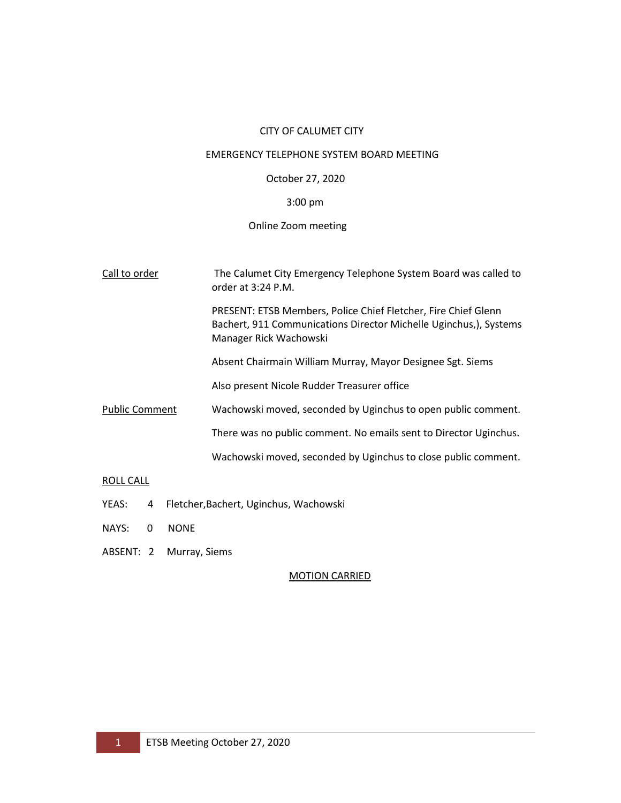## CITY OF CALUMET CITY

### EMERGENCY TELEPHONE SYSTEM BOARD MEETING

## October 27, 2020

# 3:00 pm

## Online Zoom meeting

| Call to order         | The Calumet City Emergency Telephone System Board was called to<br>order at 3:24 P.M.                                                                         |
|-----------------------|---------------------------------------------------------------------------------------------------------------------------------------------------------------|
|                       | PRESENT: ETSB Members, Police Chief Fletcher, Fire Chief Glenn<br>Bachert, 911 Communications Director Michelle Uginchus,), Systems<br>Manager Rick Wachowski |
|                       | Absent Chairmain William Murray, Mayor Designee Sgt. Siems                                                                                                    |
|                       | Also present Nicole Rudder Treasurer office                                                                                                                   |
| <b>Public Comment</b> | Wachowski moved, seconded by Uginchus to open public comment.                                                                                                 |
|                       | There was no public comment. No emails sent to Director Uginchus.                                                                                             |
|                       | Wachowski moved, seconded by Uginchus to close public comment.                                                                                                |
| ROLL CALL             |                                                                                                                                                               |

- YEAS: 4 Fletcher,Bachert, Uginchus, Wachowski
- NAYS: 0 NONE
- ABSENT: 2 Murray, Siems

## MOTION CARRIED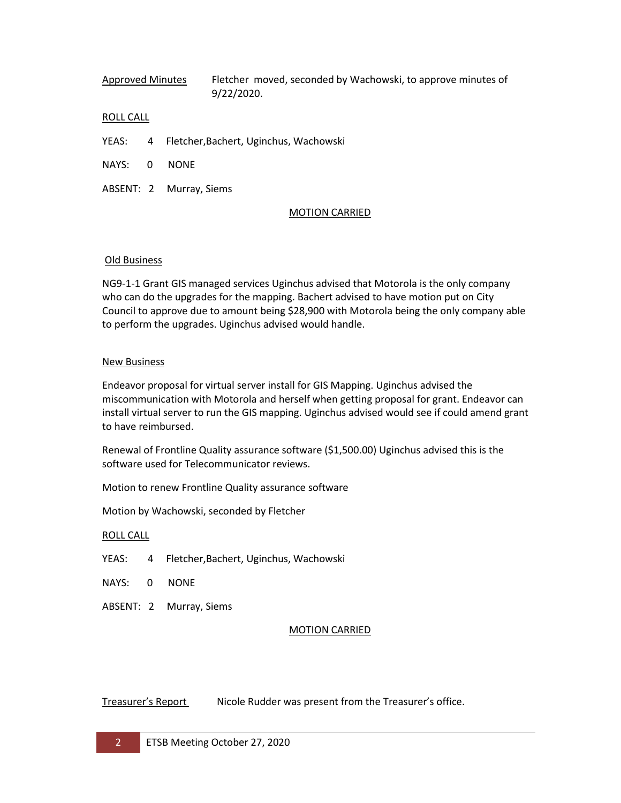Approved Minutes Fletcher moved, seconded by Wachowski, to approve minutes of 9/22/2020.

#### ROLL CALL

- YEAS: 4 Fletcher,Bachert, Uginchus, Wachowski
- NAYS: 0 NONE
- ABSENT: 2 Murray, Siems

#### MOTION CARRIED

#### Old Business

NG9-1-1 Grant GIS managed services Uginchus advised that Motorola is the only company who can do the upgrades for the mapping. Bachert advised to have motion put on City Council to approve due to amount being \$28,900 with Motorola being the only company able to perform the upgrades. Uginchus advised would handle.

#### New Business

Endeavor proposal for virtual server install for GIS Mapping. Uginchus advised the miscommunication with Motorola and herself when getting proposal for grant. Endeavor can install virtual server to run the GIS mapping. Uginchus advised would see if could amend grant to have reimbursed.

Renewal of Frontline Quality assurance software (\$1,500.00) Uginchus advised this is the software used for Telecommunicator reviews.

Motion to renew Frontline Quality assurance software

Motion by Wachowski, seconded by Fletcher

#### ROLL CALL

- YEAS: 4 Fletcher,Bachert, Uginchus, Wachowski
- NAYS: 0 NONE
- ABSENT: 2 Murray, Siems

#### MOTION CARRIED

## Treasurer's Report Nicole Rudder was present from the Treasurer's office.